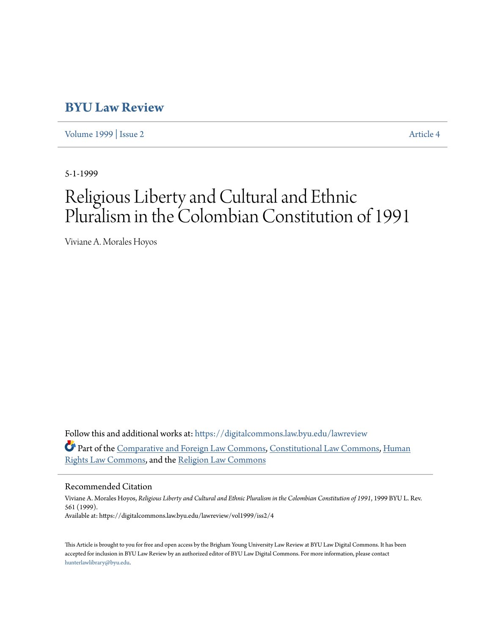# **[BYU Law Review](https://digitalcommons.law.byu.edu/lawreview?utm_source=digitalcommons.law.byu.edu%2Flawreview%2Fvol1999%2Fiss2%2F4&utm_medium=PDF&utm_campaign=PDFCoverPages)**

[Volume 1999](https://digitalcommons.law.byu.edu/lawreview/vol1999?utm_source=digitalcommons.law.byu.edu%2Flawreview%2Fvol1999%2Fiss2%2F4&utm_medium=PDF&utm_campaign=PDFCoverPages) | [Issue 2](https://digitalcommons.law.byu.edu/lawreview/vol1999/iss2?utm_source=digitalcommons.law.byu.edu%2Flawreview%2Fvol1999%2Fiss2%2F4&utm_medium=PDF&utm_campaign=PDFCoverPages) [Article 4](https://digitalcommons.law.byu.edu/lawreview/vol1999/iss2/4?utm_source=digitalcommons.law.byu.edu%2Flawreview%2Fvol1999%2Fiss2%2F4&utm_medium=PDF&utm_campaign=PDFCoverPages)

5-1-1999

# Religious Liberty and Cultural and Ethnic Pluralism in the Colombian Constitution of 1991

Viviane A. Morales Hoyos

Follow this and additional works at: [https://digitalcommons.law.byu.edu/lawreview](https://digitalcommons.law.byu.edu/lawreview?utm_source=digitalcommons.law.byu.edu%2Flawreview%2Fvol1999%2Fiss2%2F4&utm_medium=PDF&utm_campaign=PDFCoverPages) Part of the [Comparative and Foreign Law Commons](http://network.bepress.com/hgg/discipline/836?utm_source=digitalcommons.law.byu.edu%2Flawreview%2Fvol1999%2Fiss2%2F4&utm_medium=PDF&utm_campaign=PDFCoverPages), [Constitutional Law Commons](http://network.bepress.com/hgg/discipline/589?utm_source=digitalcommons.law.byu.edu%2Flawreview%2Fvol1999%2Fiss2%2F4&utm_medium=PDF&utm_campaign=PDFCoverPages), [Human](http://network.bepress.com/hgg/discipline/847?utm_source=digitalcommons.law.byu.edu%2Flawreview%2Fvol1999%2Fiss2%2F4&utm_medium=PDF&utm_campaign=PDFCoverPages) [Rights Law Commons,](http://network.bepress.com/hgg/discipline/847?utm_source=digitalcommons.law.byu.edu%2Flawreview%2Fvol1999%2Fiss2%2F4&utm_medium=PDF&utm_campaign=PDFCoverPages) and the [Religion Law Commons](http://network.bepress.com/hgg/discipline/872?utm_source=digitalcommons.law.byu.edu%2Flawreview%2Fvol1999%2Fiss2%2F4&utm_medium=PDF&utm_campaign=PDFCoverPages)

#### Recommended Citation

Viviane A. Morales Hoyos, *Religious Liberty and Cultural and Ethnic Pluralism in the Colombian Constitution of 1991*, 1999 BYU L. Rev. 561 (1999). Available at: https://digitalcommons.law.byu.edu/lawreview/vol1999/iss2/4

This Article is brought to you for free and open access by the Brigham Young University Law Review at BYU Law Digital Commons. It has been accepted for inclusion in BYU Law Review by an authorized editor of BYU Law Digital Commons. For more information, please contact [hunterlawlibrary@byu.edu.](mailto:hunterlawlibrary@byu.edu)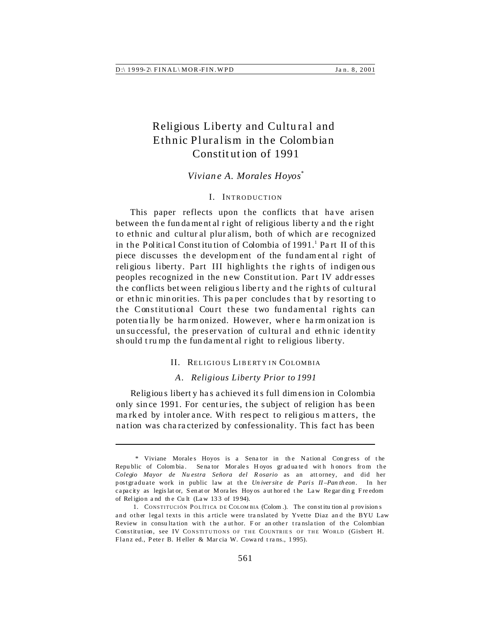## Religious Liberty and Cultural and Ethnic Pluralism in the Colombian Constitution of 1991

#### Viviane A. Morales Hoyos\*

#### I. INTRODUCTION

This paper reflects upon the conflicts that have arisen between the fundamental right of religious liberty and the right to ethnic and cultural pluralism, both of which are recognized in the Political Constitution of Colombia of 1991.<sup>1</sup> Part II of this piece discusses the development of the fundamental right of religious liberty. Part III highlights the rights of indigenous peoples recognized in the new Constitution. Part IV addresses the conflicts between religious liberty and the rights of cultural or ethnic minorities. This paper concludes that by resorting to the Constitutional Court these two fundamental rights can potentially be harmonized. However, where harmonization is unsuccessful, the preservation of cultural and ethnic identity should trump the fundamental right to religious liberty.

#### II. RELIGIOUS LIBERTY IN COLOMBIA

#### A. Religious Liberty Prior to 1991

Religious liberty has achieved its full dimension in Colombia only since 1991. For centuries, the subject of religion has been marked by intolerance. With respect to religious matters, the nation was characterized by confessionality. This fact has been

<sup>\*</sup> Viviane Morales Hoyos is a Senator in the National Congress of the Republic of Colombia. Senator Morales Hoyos graduated with honors from the Colegio Mayor de Nuestra Señora del Rosario as an attorney, and did her postgraduate work in public law at the Universite de Paris II-Pantheon. In her capacity as legislator, Senator Morales Hoyos authored the Law Regarding Freedom of Religion and the Cult (Law 133 of 1994).

<sup>1.</sup> CONSTITUCIÓN POLÍTICA DE COLOMBIA (Colom.). The constitution al provisions and other legal texts in this article were translated by Yvette Diaz and the BYU Law Review in consultation with the author. For another translation of the Colombian Constitution, see IV CONSTITUTIONS OF THE COUNTRIES OF THE WORLD (Gisbert H. Flanz ed., Peter B. Heller & Marcia W. Coward trans., 1995).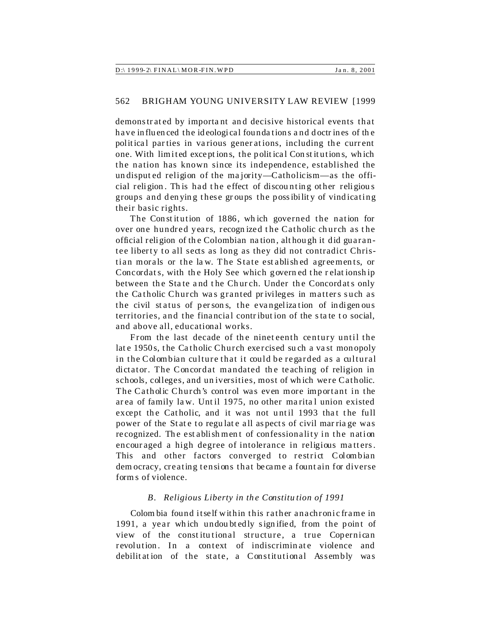|  | $D$ :\ 1999-2\ FINAL\ MOR-FIN. WPD | Jan. 8, 2001 |
|--|------------------------------------|--------------|
|--|------------------------------------|--------------|

demonstrated by importa nt and decisive historical events that have in fluen ced the id eological founda tions a nd d octr in es of th e political parties in various generations, including the current one. With limited exceptions, the political Constitutions, which the nation has known since its independence, established the undisput ed religion of the ma jority—Catholicism—as the official religion. This had the effect of discounting other religious groups and den ying these groups the possibility of vindicating their basic rights.

The Constitution of 1886, which governed the nation for over one hundred years, recognized the Catholic church as the official religion of th e Colombian na tion, although it did guarantee liberty to all sects as long as they did not contradict Christian morals or the law. The State est ablished agreements, or Concordats, with the Holy See which governed the relationship between the State and the Church. Under the Concordats only the Catholic Church was granted privileges in matters such as the civil status of persons, the evangelization of indigenous territories, and the financial contribution of the state to social. and above all, educational works.

From the last decade of the nineteenth century until the late 1950s, the Catholic Church exercised such a vast monopoly in the Colombian culture that it could be regarded as a cultural dictator. The Concordat mandated the teaching of religion in schools, colleges, and un iversities, most of wh ich were Catholic. The Catholic Church's control was even more important in the area of family law. Unt il 1975, no other ma rita l union existed except the Catholic, and it was not until 1993 that the full power of the State to regulate all aspects of civil mar ria ge was recognized. The est ablishment of confessionality in the nation encouraged a high degree of intolerance in religious matters. This and other factors converged to restrict Colombian dem ocracy, creating tensions that became a fount ain for diverse form s of violence.

#### *B. Religious Liberty in th e Constitu tion of 1991*

Colom bia found itself within this rather anachronic frame in 1991, a year which undoubtedly signified, from the point of view of the constitutional structure, a true Copernican revolution. In a context of indiscriminate violence and debilitation of the state, a Constitutional Assembly was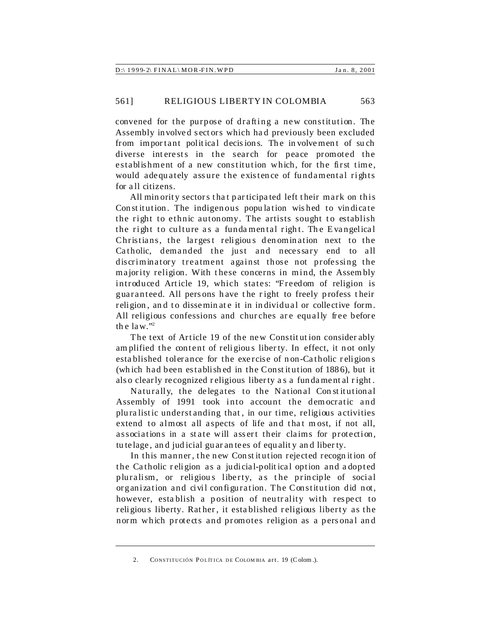| $D$ :\ 1999-2\ FINAL\ MOR-FIN. WPD | Jan. 8, 2001 |
|------------------------------------|--------------|
|------------------------------------|--------------|

convened for the purpose of drafting a new constitution. The Assembly involved sectors which had previously been excluded from important political decisions. The involvement of such diverse interests in the search for peace promoted the establishment of a new constitution which, for the first time, would adequately assure the existence of fundamental rights for all citizens.

All minority sectors that participated left their mark on this Constitution. The indigenous population wished to vindicate the right to ethnic autonomy. The artists sought to establish the right to culture as a fundamental right. The Evangelical Christians, the largest religious denomination next to the Catholic, demanded the just and necessary end to all discriminatory treatment against those not professing the majority religion. With these concerns in mind, the Assembly introduced Article 19, which states: "Freedom of religion is guaranteed. All persons have the right to freely profess their religion, and to disseminate it in individual or collective form. All religious confessions and churches are equally free before the  $law.^{"2}$ 

The text of Article 19 of the new Constitution considerably amplified the content of religious liberty. In effect, it not only established tolerance for the exercise of non-Catholic religions (which had been established in the Constitution of 1886), but it also clearly recognized religious liberty as a fundamental right.

Naturally, the delegates to the National Constitutional Assembly of 1991 took into account the democratic and pluralistic understanding that, in our time, religious activities extend to almost all aspects of life and that most, if not all, associations in a state will assert their claims for protection, tu telage, and judicial guarantees of equality and liberty.

In this manner, the new Constitution rejected recognition of the Catholic religion as a judicial-political option and adopted pluralism, or religious liberty, as the principle of social organization and civil configuration. The Constitution did not, however, establish a position of neutrality with respect to religious liberty. Rather, it established religious liberty as the norm which protects and promotes religion as a personal and

 $\mathcal{P}$ CONSTITUCIÓN POLÍTICA DE COLOMBIA art. 19 (Colom.).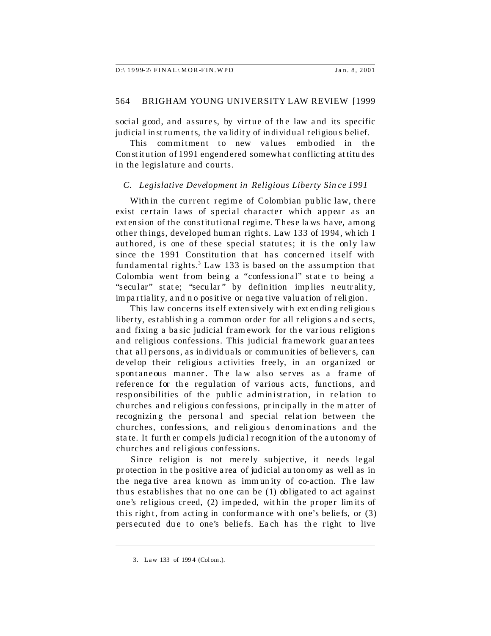|  | D:\ 1999-2\ FINAL\MOR-FIN.WPD |  |
|--|-------------------------------|--|
|  |                               |  |

social good, and assures, by virtue of the law and its specific judicial in st ruments, the validity of individual religious belief.

This commitment to new values embodied in the Con st it ution of 1991 engendered somewha t conflicting at titu des in the legislature and courts.

#### *C. Legislative Development in Religious Liberty Sin ce 1991*

With in the current regime of Colombian public law, there exist certain laws of special character which appear as an ext en sion of the constitutional regime. T hes e la ws have, among other things, developed human rights. Law 133 of 1994, wh ich I authored, is one of these special statutes; it is the only law since the 1991 Constitution that has concerned itself with fundamental rights.<sup>3</sup> Law 133 is based on the assumption that Colombia went from being a "confessional" state to being a "secular" state; "secular" by definition implies neutrality, im pa rtia lit y, a nd n o pos it ive or nega tive va lu ation of religion .

This law concerns itself exten sively wit h ext en ding r eligiou s liberty, establishing a common order for all religions and sects, a nd fixing a ba sic judicial fram ework for the var ious r eligion s and religious confessions. This judicial fra mework guar an tees that all persons, as in divid uals or communit ies of believer s, can de velop their religious activities freely, in an organized or spontaneous manner. The law also serves as a frame of reference for the regulation of various acts, functions, and responsibilities of the public administration, in relation to ch urches and r eligiou s con fes sions, pr in cipally in the m atter of recognizing the personal and special relation between the churches, confessions, and religious denominations and the sta te. It furth er compels judicia l r ecogn it ion of the a utonomy of churches and religious confessions.

Since religion is not merely subjective, it needs legal protection in the positive a rea of judicial autonomy as well as in the negative area known as immunity of co-action. The law thus establishes that no one can be (1) obligated to act against one's religious creed, (2) impe de d, wit hin the proper lim it s of this right, from acting in conformance with one's beliefs, or  $(3)$ persecuted due to one's beliefs. Each has the right to live

<sup>3.</sup> Law 133 of 199 4 (Col om .).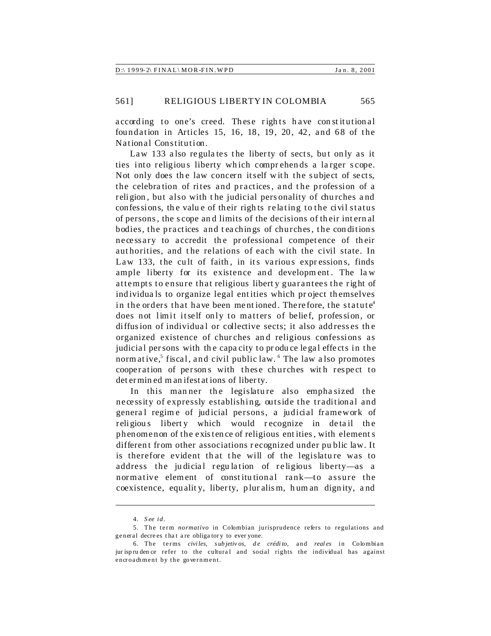| $D: 1999-2\ FINAL \ MOR-FIN. WPD$<br>Jan. 8, 2001 |
|---------------------------------------------------|
|---------------------------------------------------|

according to one's creed. These rights have constitutional foundation in Articles 15, 16, 18, 19, 20, 42, and 68 of the National Constitution.

Law 133 also regulates the liberty of sects, but only as it ties into religious liberty which comprehends a larger scope. Not only does the law concern itself with the subject of sects, the celebration of rites and practices, and the profession of a religion , but also with t he judicial pers onality of chu rches a nd confessions, the value of their rights relating to the civil status of persons , the s cope an d limits of the decisions of th eir int ern al bodies, the practices and teachings of churches, the conditions necessary to accredit the professional competence of their authorities, and the relations of each with the civil state. In Law 133, the cult of faith, in its various expressions, finds ample liberty for its existence and development. The law attempts to ensure that religious libert y guarantees the right of ind ividua ls to organize legal ent ities which pr oject th emselves in the orders that have been mentioned. Therefore, the statute<sup>4</sup> does not limit itself only to matters of belief, profes sion, or diffusion of individual or collective sects; it also addresses the organized existence of chur ches an d religious confessions as judicial persons with the capacity to produce legal effects in the normative,<sup>5</sup> fiscal, and civil public law. <sup>6</sup> The law also promotes cooperation of persons with these churches with respect to det ermin ed m an ifestat ions of liberty.

In this manner the legislature also emphasized the necessity of expressly establishing, outside the traditional and general regime of judicial persons, a judicial framework of religious liberty which would recognize in detail the phenomenon of the exis ten ce of religious ent ities, with element s different from other associations recognized under public law. It is therefore evident that the will of the legislature was to address the judicial regulation of religious liberty—as a normative element of constitutional rank—to assure the coexistence, equalit y, liberty, plur alism, h um an dignity, a nd

<sup>4.</sup> *S ee id.*

<sup>5.</sup> The term *normativo* in Colombian jurisprudence refers to regulations and general decrees that are obligatory to ever yone.

<sup>6.</sup> The terms *civiles, subjetiv os, de crédito,* and *real es* in Colombian jur ispru den ce refer to the cultural and social rights the individual has against encroachment by the government.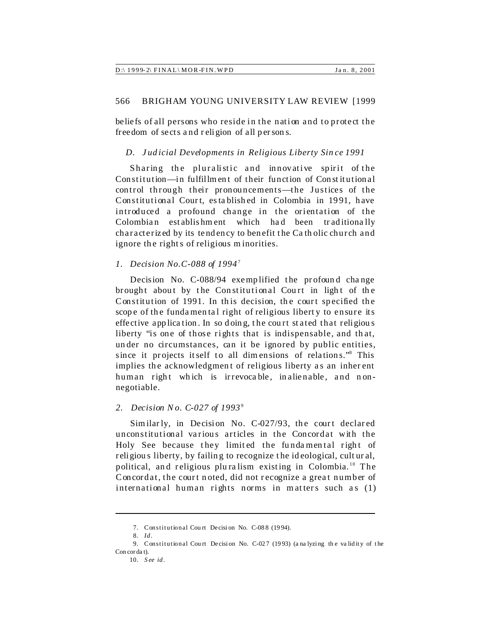beliefs of all persons who reside in the nation and to protect the freedom of sects and religion of all persons.

#### D. Judicial Developments in Religious Liberty Since 1991

Sharing the pluralistic and innovative spirit of the Constitution—in fulfillment of their function of Constitutional control through their pronouncements-the Justices of the Constitutional Court, established in Colombia in 1991, have introduced a profound change in the orientation of the Colombian establishment which had been traditionally characterized by its tendency to benefit the Catholic church and ignore the rights of religious minorities.

#### 1. Decision No.C-088 of  $1994^7$

Decision No. C-088/94 exemplified the profound change brought about by the Constitutional Court in light of the Constitution of 1991. In this decision, the court specified the scope of the fundamental right of religious liberty to ensure its effective application. In so doing, the court stated that religious liberty "is one of those rights that is indispensable, and that, under no circumstances, can it be ignored by public entities, since it projects itself to all dimensions of relations."<sup>8</sup> This implies the acknowledgment of religious liberty as an inherent human right which is irrevocable, inalienable, and nonnegotiable.

#### 2. Decision No. C-027 of  $1993^9$

Similarly, in Decision No. C-027/93, the court declared unconstitutional various articles in the Concordat with the Holy See because they limited the fundamental right of religious liberty, by failing to recognize the ideological, cultural, political, and religious pluralism existing in Colombia.<sup>10</sup> The Concordat, the court noted, did not recognize a great number of international human rights norms in matters such as (1)

<sup>7.</sup> Constitutional Court Decision No. C-088 (1994).

<sup>8.</sup> Id.

<sup>9.</sup> Constitutional Court Decision No. C-027 (1993) (analyzing the validity of the  $Concordat)$ .

 $10.$  See id.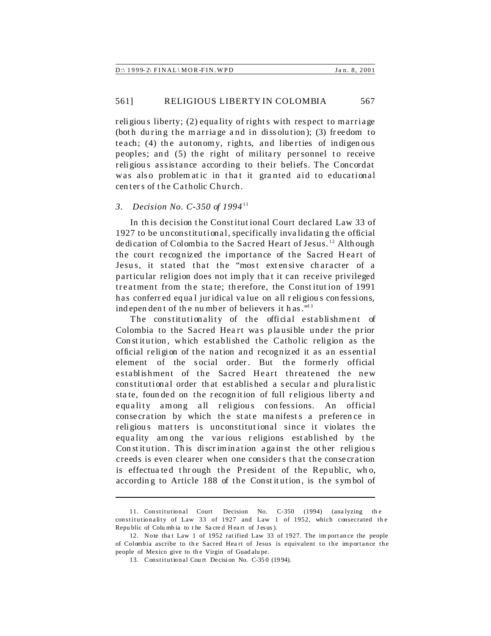|  | $D$ :\ 1999-2\ FINAL\MOR-FIN.WPD | Jan. 8, 2001 |
|--|----------------------------------|--------------|
|--|----------------------------------|--------------|

religious liberty; (2) equality of rights with respect to marriage (both during the marriage and in dissolution); (3) freedom to teach;  $(4)$  the autonomy, rights, and liberties of indigenous peoples; and  $(5)$  the right of military personnel to receive religiou s assistance according to their beliefs. The Concordat was also problematic in that it granted aid to educational cen ter s of t he Catholic Church.

### *3. Decision No. C-350 of 1994*<sup>11</sup>

In this decision the Constitutional Court declared Law 33 of 1927 to be unconstitutional, specifically inva lida tin g th e official de dication of Colombia to the Sacred Heart of Jesus. <sup>12</sup> Although the court recognized the importance of the Sacred Heart of Jesus, it stated that the "most extensive character of a particular religion does not imply that it can receive privileged treatment from the state; therefore, the Constitution of 1991 has conferred equal juridical value on all religious confessions, indepen den t of the number of believers it has."<sup>13</sup>

The constitutionality of the official establishment of Colombia to the Sacred Heart was plausible under the prior Constitution, which established the Catholic religion as the official religion of the nation and recognized it as an essential element of the social order. But the formerly official establishment of the Sacred Heart threatened the new constitutional order th at established a secular a nd plura listic sta te, foun ded on the r ecogn it ion of full r eligious liberty a nd equality among all religious confessions. An official consecration by which the state manifests a preference in religious matters is unconstitutional since it violates the equality among the various religions established by the Constitution. This discrimination against the other religious creeds is even clearer when one consider s that the conse cration is effectuated through the President of the Republic, who, according to Article 188 of the Constitution, is the symbol of

<sup>11.</sup> Con stitutional Court Decision No. C-350 (1994) (ana lyzing th e constitutionality of Law 33 of 1927 and Law 1 of 1952, which consecrated the Republic of Columbia to the Sacred Heart of Jesus).

<sup>12.</sup> Note tha t Law 1 of 1952 rat ified Law 33 of 1927. The im port an ce the people of Colombia ascribe to the Sacred Heart of Jesus is equivalent to the importance the people of Mexico give to the Virgin of Guad alu pe.

<sup>13.</sup> Constitutional Court Decision No. C-350 (1994).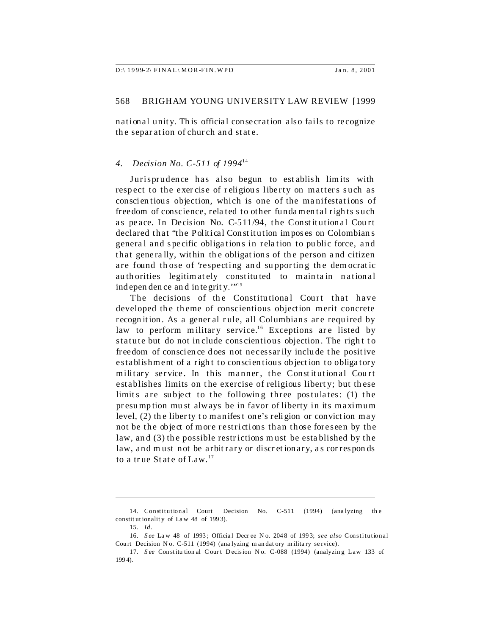national unity. This official consecration also fails to recognize the separation of church and state.

#### *4. Decision No. C-511 of 1994*<sup>14</sup>

Jurisprudence has also begun to est ablish lim its with respect to the exercise of religious liberty on matters such as conscien tiou s objection, which is one of the ma nifestat ions of freedom of conscience, related to other fundamental rights such as peace. In Decision No.  $C-511/94$ , the Constitutional Court declared that "the Political Con st it ution im pos es on Colombian s genera l and s pecific obliga tions in rela tion to pu blic force, and that generally, within the obligations of the person and citizen are found those of 'respecting and supporting the democratic authorities legitimately constituted to maintain national indepen den ce and integrity.""

The decisions of the Constitutional Court that have developed the theme of conscientious objection merit concrete recognition. As a general rule, all Columbians are required by law to perform military service.<sup>16</sup> Exceptions are listed by statute but do not in clude conscientious objection. The right to freedom of conscien ce does not necessar ily include t he positive establishment of a right to conscientious objection to obligatory military service. In this manner, the Constitutional Court establishes limits on the exercise of religious liberty; but these limits are subject to the following three postulates: (1) the presu mption mu st always be in favor of liberty in its maximum level, (2) the liberty to manifest one's religion or conviction may not be the object of more restrictions than those foreseen by the law, and (3) the possible restrictions must be established by the law, and must not be arbitrary or discretionary, as corresponds to a true State of Law.<sup>17</sup>

<sup>14.</sup> Constitutional Court Decision No. C-511 (1994) (ana lyzing th e constit ut ionalit y of La w 48 of 199 3).

<sup>15.</sup> *Id*.

<sup>16.</sup> *S ee* La w 48 of 1993 ; Officia l Decr ee N o. 204 8 of 199 3; *see also* Constitutional Court Decision No. C-511 (1994) (ana lyzing m an dat ory military service).

<sup>17.</sup> See Constitutional Court Decision No. C-088 (1994) (analyzing Law 133 of 199 4).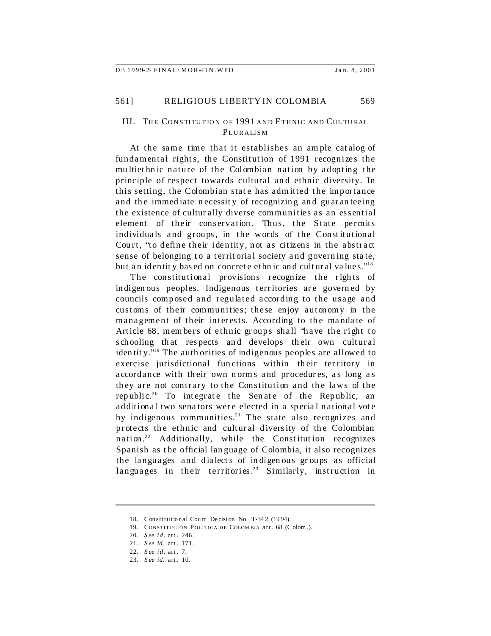## III. THE CONSTITUTION OF 1991 AND ETHNIC AND CULTURAL **PLURALISM**

At the same time that it establishes an am ple cat alog of fundamental rights, the Constitution of 1991 recognizes the mu ltiet hn ic nature of the Colombian nation by adopting the principle of respect towards cultural an d ethnic diversity. In this setting, the Colombian state has admitted the importance and the immediate necessity of recognizing and guaranteeing the existence of cultur ally diverse communities as an essential element of their conservation. Thus, the State permits individuals and groups, in the words of the Constitutional Court, "to define their identity, not as citizens in the abstract sense of belonging to a territ orial society and governing state, but an identity based on concrete ethnic and cultural values."<sup>18</sup>

The constitutional provisions recognize the rights of in digen ous peoples. Indigenous territories are governed by councils composed and regulated according to the usage and customs of their communities; these enjoy autonomy in the management of their interests. According to the mandate of Article 68, members of ethnic groups shall 'have the right to s chooling that respects and develops their own cultural iden tit y."<sup>19</sup> The auth orities of indigenous peoples are allowed to exercise jurisdictional functions within their ter ritory in accordance with their own norms and procedures, as long as they are not contrary to the Constitution and the laws of the republic.<sup>20</sup> To integrate the Senate of the Republic, an additional two senators were elected in a special national vote by indigenous communities.<sup>21</sup> The state also recognizes and protects the ethnic and cultur al diversity of the Colombian nation.<sup>22</sup> Additionally, while the Constitution recognizes Spanish as the official language of Colombia, it also recognizes the languages and dialects of indigenous groups as official languages in their territories.<sup>23</sup> Similarly, instruction in

<sup>18.</sup> Constitutional Cou rt De cisi on No. T-34 2 (19 94).

<sup>19.</sup> CONSTITUCIÓN POLÍTICA DE COLOMBIA art. 68 (Colom.).

<sup>20.</sup> *S ee id.* art . 246.

<sup>21.</sup> *S ee id.* art . 171.

<sup>22.</sup> *S ee id.* art . 7.

<sup>23.</sup> *S ee id.* art . 10.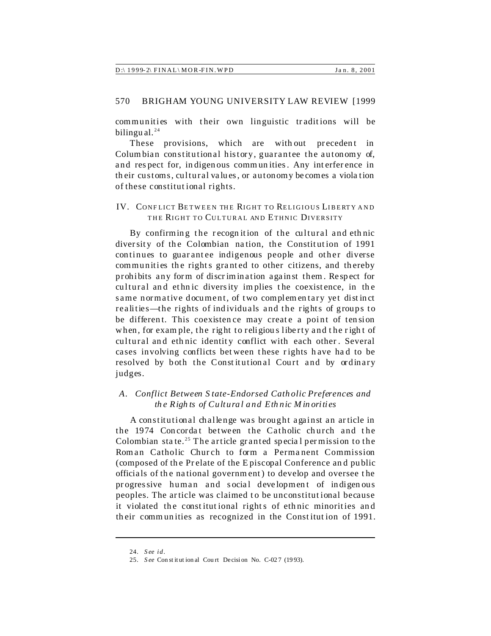|  | D:\ 1999-2\ FINAL\MOR-FIN.WPD |  |
|--|-------------------------------|--|
|  |                               |  |

communities with their own linguistic traditions will be bilingual. $^{24}$ 

These provisions, which are without precedent in Columbian constitutional history, guarantee the autonomy of, and respect for, indigenous communities. Any interference in their customs, cultural values, or autonomy becomes a violation of these constitutional rights.

IV. CONFLICT BETWEEN THE RIGHT TO RELIGIOUS LIBERTY AND THE RIGHT TO CULTURAL AND ETHNIC DIVERSITY

By confirming the recognition of the cultural and ethnic diversity of the Colombian nation, the Constitution of 1991 continues to guarantee indigenous people and other diverse communities the rights granted to other citizens, and thereby prohibits any form of discrimination against them. Respect for cultural and ethnic diversity implies the coexistence, in the same normative document, of two complementary yet distinct realities—the rights of individuals and the rights of groups to be different. This coexistence may create a point of tension when, for example, the right to religious liberty and the right of cultural and ethnic identity conflict with each other. Several cases involving conflicts between these rights have had to be resolved by both the Constitutional Court and by ordinary judges.

## A. Conflict Between State-Endorsed Catholic Preferences and the Rights of Cultural and Ethnic Minorities

A constitutional challenge was brought against an article in the 1974 Concordat between the Catholic church and the Colombian state.<sup>25</sup> The article granted special permission to the Roman Catholic Church to form a Permanent Commission (composed of the Prelate of the Episcopal Conference and public officials of the national government) to develop and oversee the progressive human and social development of indigenous peoples. The article was claimed to be unconstitutional because it violated the constitutional rights of ethnic minorities and their communities as recognized in the Constitution of 1991.

<sup>24.</sup> See id.

<sup>25.</sup> See Constitutional Court Decision No. C-027 (1993).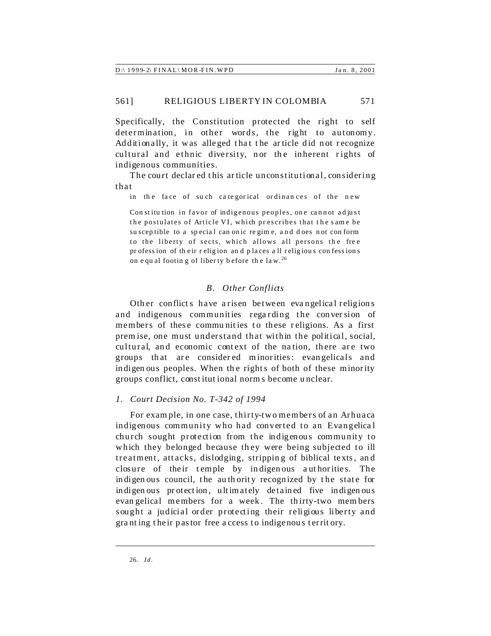Specifically, the Constitution protected the right to self determination, in other words, the right to autonomy. Additionally, it was alleged that the article did not recognize cultural and ethnic diversity, nor the inherent rights of indigenous communities.

The court declar ed this ar ticle unconstitutional, considering that

in the face of such categorical ordinances of the new

Con stitu tion in favor of indigenous peoples, one cannot adjust the postulates of Article VI, which prescribes that the same be su scep tible to a special can onic regime, and does not conform to the liberty of sects, which allows all persons the free pr ofess ion of their religion and places all religious confessions on e qual footing of liber ty b efore the law.<sup>26</sup>

## *B. Other Conflicts*

Other conflicts have arisen between evangelical religions and indigenous communities regarding the conversion of members of these communities to these religions. As a first prem ise, one must understand that within the political, social, cultural, and economic context of the nation, there are two groups that are considered minorities: evangelicals and in digen ous peoples. When the rights of both of these minority groups conflict, const itut ional norm s become u nclear.

#### *1. Court Decision No. T-342 of 1994*

For exam ple, in one case, thirty-two members of an Arhuaca indigenous community who had converted to an Evangelica l church sought protection from the indigenous community to which they belonged because they were being subjected to ill treatment, att acks, dislodging, strippin g of biblical texts, an d closure of their t emple by in digen ous a ut horities. The in digen ous council, the authority recognized by the state for in digen ous protection, ultimately detained five indigenous evan gelical members for a week. The thirty-two members sought a judicial order protecting their religious liberty and gra nt ing t heir pastor free a ccess to indigenous territ ory.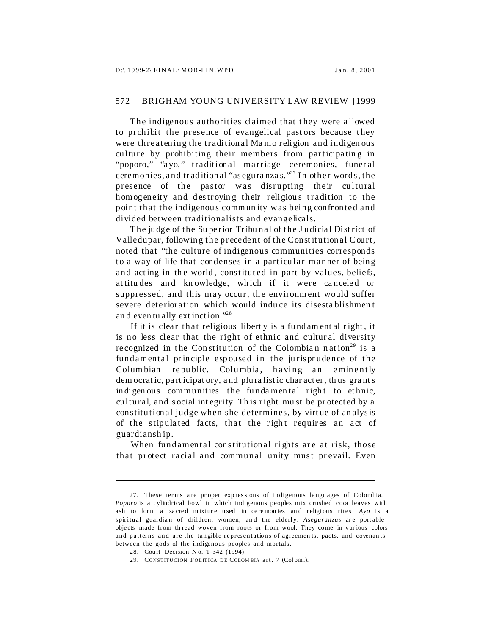| $D$ :\ 1999-2\ FINAL\ MOR-FIN. WPD | Jan. 8, 2001 |
|------------------------------------|--------------|
|                                    |              |

The indigenous authorities claimed that they were allowed to prohibit the presence of evangelical past ors because they were threatening the tradition al Ma mo religion and indigen ous culture by prohibiting their members from participatin g in "poporo," "ayo," traditional marriage ceremonies, funeral ceremonies, and tr aditional "asegura nza s."<sup>27</sup> In other words, the presence of the pastor was disrupting their cultural homogeneity and destroying their religious tradition to the point that the indigenous commun ity was being confronted and divided between traditionalists and evangelicals.

The judge of the Superior Tribunal of the Judicial District of Valledupar, followin g t he precede nt of the Const it ution al Court, noted that "the culture of indigenous communities corresponds to a way of life that condenses in a part icular manner of being and acting in the world, constituted in part by values, beliefs, attitudes and knowledge, which if it were canceled or suppressed, and this may occur, the environment would suffer severe deterioration which would induce its disesta blishmen t an d even tu ally ext inction."<sup>28</sup>

If it is clear that religious liberty is a fundam ental right, it is no less clear that the right of ethnic and cultural diversity recognized in the Constitution of the Colombian nation<sup>29</sup> is a fundamental principle espoused in the jurisprudence of the Columbian republic. Columbia, having an eminently dem ocrat ic, part icipat ory, and plura listic char acter, th us gra nt s in digen ous communities the fundamental right to ethnic, cultural, and s ocial int egrity. Th is right mu st be pr otected by a constitutional judge when she determines, by virt ue of an alysis of the stipulated facts, that the right requires an act of guardianship.

When fundamental constitutional rights are at risk, those that protect racial and communal unity must prevail. Even

<sup>27.</sup> These ter ms a re pr oper exp res sions of indigenous la ngu ages of Colombia. *Poporo* is a cylindrical bowl in which indigenous peoples mix crushed coca leaves with ash to form a sacred mixture used in ce remonies and religious rites. Ayo is a spiritual guardian of children, women, and the elderly. *Aseguranzas* are portable objects made from th read woven from roots or from wool. They come in various colors and patterns and are the tangible representations of agreemen ts, pacts, and covenan ts between the gods of the indigenous peoples and mortals.

<sup>28.</sup> Court Decision No. T-342 (1994).

<sup>29.</sup> CONSTITUCIÓN POLÍTICA DE COLOMBIA art. 7 (Colom.).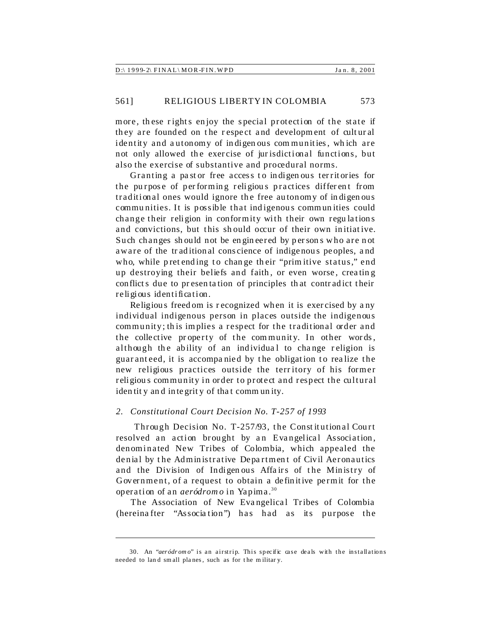| $D$ :\ 1999-2\ FINAL\ MOR-FIN. WPD |  | Jan. 8, 2001 |
|------------------------------------|--|--------------|
|------------------------------------|--|--------------|

more, these rights enjoy the special protection of the state if they are founded on the respect and development of cultural identity and autonomy of indigenous communities, which are not only allowed the exercise of jurisdictional functions, but also the exercise of substantive and procedural norms.

Granting a past or free access to indigenous territories for the purpose of performing religious practices different from traditional ones would ignore the free autonomy of in digen ous commu nities. It is possible that indigenous commun ities could change their religion in conformity with their own regu la tion s and convictions, but this should occur of their own initiative. Such changes should not be engineered by persons who are not aware of the tr aditional conscience of indigenous peoples, a nd who, while pret ending to change th eir "prim itive status," end up destroying their beliefs and faith, or even worse, creating conflict s due to pr esen ta tion of principles th at contr adict their religious identification.

Religiou s freedom is r ecognized when it is exercised by a ny individual indigenous person in places outside the indigenous community; th is implies a respect for the traditional order and the collective property of the community. In other words, although the ability of an individual to change religion is guaranteed, it is accompanied by the obligation to realize the new religious practices outside the terr itory of his former religiou s community in order to protect and respect the cultural iden tit y an d integrit y of tha t comm un ity.

#### *2. Constitutional Court Decision No. T-257 of 1993*

Through Decision No. T-257/93, the Constitutional Court resolved an action brought by an Evangelical Association, den ominated New Tribes of Colombia, which appealed the denial by the Administrative Department of Civil Aeronautics and the Division of Indigenous Affairs of the Ministry of Government, of a request to obtain a definitive permit for the operation of an *aeródrom o* in Yapima.<sup>30</sup>

The Association of New Evangelical Tribes of Colombia (hereina fter "Associa tion") has had as its purpose the

<sup>30.</sup> An "*aer ódr om o*" is an airstrip. This specific case deals with the installations needed to land small planes, such as for the military.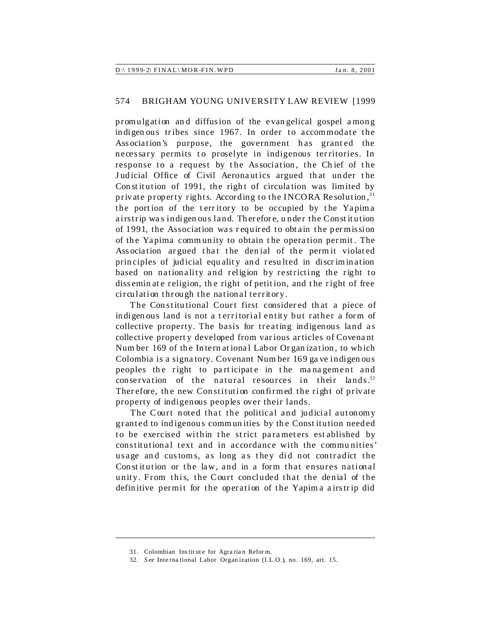| $D:\langle 1999-2\rangle$ FINAL $\langle MOR-FIN.WPD \rangle$<br>Jan. 8, 2001 |
|-------------------------------------------------------------------------------|
|-------------------------------------------------------------------------------|

promulgation an d diffusion of the evan gelical gospel among in digen ous tribes since 1967. In order to accommodate the Association's purpose, the government has granted the necessary permits to proselyte in indigenous territories. In response to a request by the Association, the Chief of the Judicial Office of Civil Aeronautics argued that under the Constitution of 1991, the right of circulation was limited by private property rights. According to the INCORA Resolution,  $31$ the portion of the territory to be occupied by the Yapima airstrip was indigen ous land. Therefore, under the Constitution of 1991, the Association wa s r equir ed to obt ain the per mission of the Yapima comm un ity to obtain t he opera tion per mit . The Ass ociation argued that the denial of the permit violated principles of judicial equality and resulted in discrimination based on nationality and religion by restricting the right to dissemin at e religion, the right of petition, and the right of free circulation through the national territory.

The Constitutional Court first considered that a piece of in digen ous land is not a territorial entity but rather a form of collective property. The basis for treating indigenous land as collective propert y developed from var ious ar ticles of Covena nt Num ber 169 of the International Labor Organization, to which Colombia is a signatory. Covenant Num ber 169 ga ve indigen ous peoples the right to participate in the management and conservation of the natural resources in their lands.<sup>32</sup> Therefore, the new Constitution confirmed the right of private property of indigenous peoples over their lands.

The Court noted that the political and judicial autonomy granted to indigenous commun ities by th e Const itution needed to be exercised within the strict parameters est ablished by constitutional text and in accordance with the commu nities' usage and customs, as long as they did not contradict the Constitution or the law, and in a form that ensures national unity. From this, the Court concluded that the denial of the definitive permit for the operation of the Yapim a a irstr ip did

<sup>31.</sup> Colombian Ins tit ut e for Agra ria n Refor m.

<sup>32.</sup> *S ee* Inte rna tional Labor Organ ization (I.L.O.), no. 169, art. 15.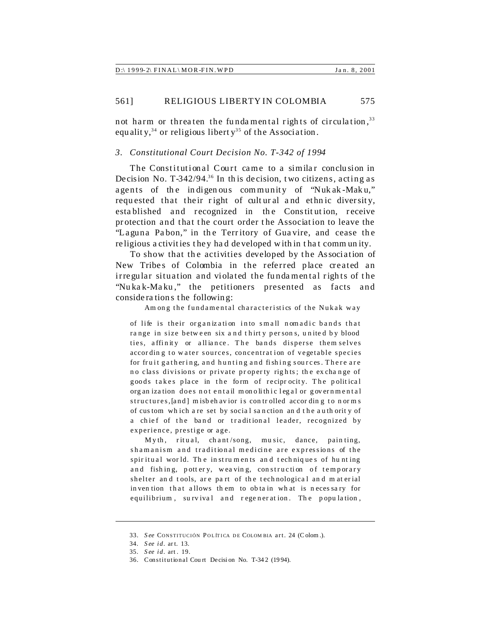not harm or threaten the fundamental rights of circulation,<sup>33</sup> equality,<sup>34</sup> or religious liberty<sup>35</sup> of the Association.

#### *3. Constitutional Court Decision No. T-342 of 1994*

The Constitutional Court came to a similar conclusion in Decision No.  $T-342/94$ <sup>36</sup> In this decision, two citizens, acting as agents of the indigenous community of "Nuk ak-Maku," requested that their right of cultural and ethnic diversity, esta blished and recognized in the Constitution, receive protection and that the court order the Association to leave the "Laguna Pabon," in the Territory of Guavire, and cease the religious a ctivities t hey ha d developed with in t ha t comm un ity.

To show that the activities developed by the Association of New Tribes of Colombia in the referred place created an irregular situation and violated the fundamental rights of the "Nu ka k-Ma ku," the petitioners presented as facts and conside ra tion s t he followin g:

Am ong the fundamental characteristics of the Nukak way

of life is their organization into small nomadic bands that range in size between six and thirty per sons, united by blood ties, affinity or alliance. The bands disperse them selves according to water sources, concentration of vegetable species for fruit gathering, and hunting and fishing sources. There are no class divisions or private property rights; the exchange of goods takes place in the form of reciprocity. The political org an ization does not entail monolithic legal or governmental structures, [and] misbeh avior is controlled according to norms of cus tom wh ich a re set by socia l sa nction an d t he a uth orit y of a chief of the band or traditional leader, recognized by experience, prestige or age.

Myth, ritual, chant/song, music, dance, painting, shamanism and traditional medicine are expressions of the spir itual world. The instruments and techniques of hunting and fishing, pottery, weaving, construction of temporary shelter and tools, are part of the technological and material in ven tion that allows th em to ob ta in wh at is n eces sa ry for equilibrium, su rvival and regeneration. The population,

<sup>33.</sup> See CONSTITUCIÓN POLÍTICA DE COLOMBIA art. 24 (Colom.).

<sup>34.</sup> *S ee id.* ar t. 13.

<sup>35.</sup> *S ee id.* art . 19.

<sup>36.</sup> Constitutional Cou rt De cisi on No. T-34 2 (19 94).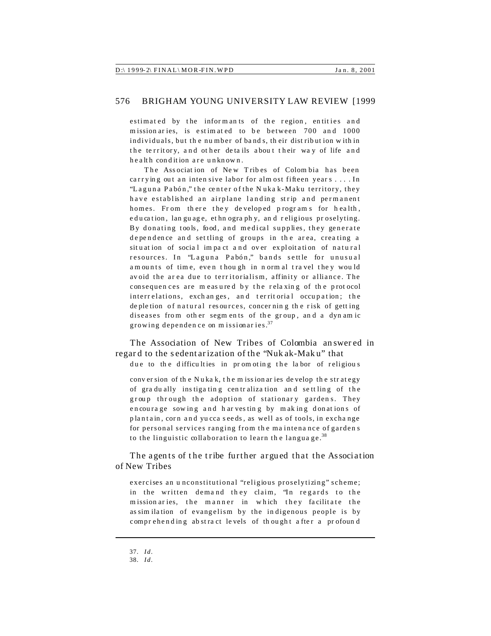|--|

estimated by the informants of the region, entities and m ission aries, is estimated to be between 700 and 1000 individuals, but th e number of ba nd s, th eir dist ribut ion w ith in the territory, and other details about their way of life and h e a lth condition are unknown.

The Association of New Tribes of Colombia has been carrying out an intensive labor for alm ost fifteen years  $\dots$ . In "Laguna Pabón," the center of the Nukak-Maku territory, they have established an airplane landing strip and permanent homes. From there they developed programs for health, education, lan guage, ethn ography, and religious proselyting. By donating tools, food, and medical supplies, they generate dependence and settling of groups in the area, creating a situation of social impact and over exploitation of natural resources. In "Laguna Pabón," bands settle for unusual am ounts of time, even though in normal travel they would avoid the area due to territorialism, affinity or alliance. The consequences are measured by the relaxing of the protocol interrelations, exchanges, and territorial occupation; the de ple tion of natural resources, concerning the risk of getting diseases from other segments of the group, and a dynamic growing dependen ce on m issionar ies.<sup>37</sup>

The Association of New Tribes of Colombia an swer ed in regar d to the s edent ar ization of th e "Nuk ak-Mak u" that due to the difficulties in promoting the labor of religious

conv er sion of th e Nuka k, t he m ission ar ies de velop th e str ategy of gra du ally ins tiga tin g cen tr aliza tion an d se tt ling of the group through the adoption of stationary gardens. They e n cou ra ge sow in g a nd h ar ves tin g by m ak in g donat ion s of plantain, corn and yu cca seeds, as well as of tools, in exchange for personal services ranging from the maintenance of gardens to the linguistic collaboration to learn the language. $38$ 

The agents of the tribe further argued that the Association of New Tribes

exercises an u nconstitutional "religious proselytizing" scheme; in the written demand they claim, 'In regards to the mission aries, the manner in which they facilitate the as similation of evangelism by the indigenous people is by comprehending abstract levels of thought after a profound

<sup>37.</sup> *Id.*

<sup>38.</sup> *Id.*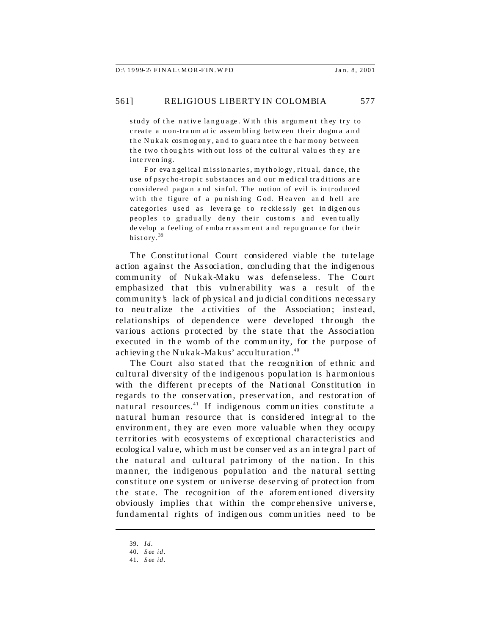study of the native language. With this argument they try to create a non-traum atic assembling between their dogma and the Nukak cosmogony, and to guarantee the harmony between the two thoughts with out loss of the cultural values they are interven ing.

For evangelical missionaries, mythology, ritual, dance, the use of psycho-tropic substances an d our m edical tra ditions ar e considered pagan and sinful. The notion of evil is introduced with the figure of a punishing God. Heaven and hell are categories used as leverage to recklessly get indigenous peoples to gradually deny their customs and even tually de velop a feeling of emba rr assm en t a nd re pu gn an ce for t he ir history.<sup>39</sup>

The Constitutional Court considered viable the tutelage action against the Association, concluding that the indigenous community of Nukak-Maku was defenseless. The Court emphasized that this vulnerability was a result of the community's lack of physical and judicial conditions necessary to neutralize the activities of the Association; instead, relationships of dependence were developed through the various actions protected by the state that the Association executed in the womb of the community, for the purpose of achieving the Nukak-Makus' acculturation.<sup>40</sup>

The Court also stated that the recognition of ethnic and cultural diversity of the indigenous population is harmonious with the different precepts of the National Constitution in regards to the conservation, preservation, and restoration of natural resources.<sup>41</sup> If indigenous communities constitute a natural hum an resource that is considered integral to the environment, they are even more valuable when they occupy territories wit h ecos ystems of exceptional characteristics and ecologica l valu e, which must be conser ved a s an in tegra l part of the natural and cultural patrimony of the nation. In this manner, the indigenous population and the natural setting constitute one system or universe deserving of protection from the state. The recognition of the aforem entioned diversity obviously implies that within the comprehensive universe, fundamental rights of indigen ous comm un ities need to be

<sup>39.</sup> *Id.*

<sup>40.</sup> *S ee id.*

<sup>41.</sup> *S ee id.*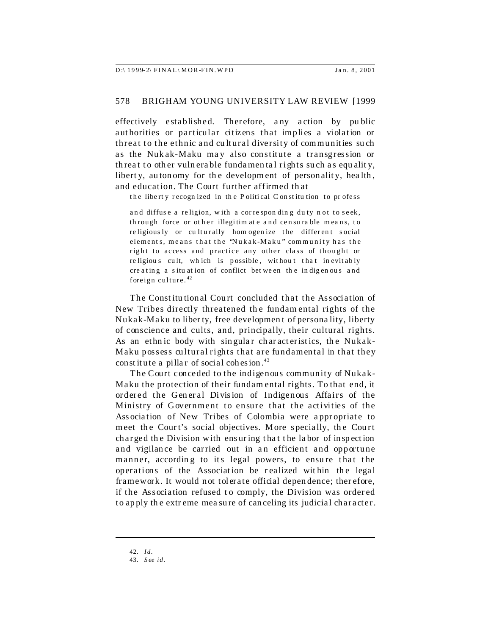|  | $D$ :\ 1999-2\ FINAL\MOR-FIN.WPD | Jan. 8, 2001 |
|--|----------------------------------|--------------|
|--|----------------------------------|--------------|

effectively established. Therefore, any action by public authorities or particular citizens that implies a violation or threat to the ethnic and cultural diversity of communities such as the Nukak-Maku may also constitute a transgression or threat to other vulnerable fundamental rights such as equality, liberty, autonomy for the development of personality, health, and education. The Court further affirmed that

the liberty recognized in the Political Constitution to profess

and diffuse a religion, with a corresponding duty not to seek, through force or other illegitim ate and censurable means, to religiously or culturally homogenize the different social elements, means that the 'Nukak-Maku" community has the right to access and practice any other class of thought or religious cult, which is possible, without that inevitably creating a situation of conflict between the indigenous and foreign culture.  $42$ 

The Constitutional Court concluded that the Association of New Tribes directly threatened the fundamental rights of the Nukak-Maku to liberty, free development of personality, liberty of conscience and cults, and, principally, their cultural rights. As an ethnic body with singular characteristics, the Nukak-Maku possess cultural rights that are fundamental in that they constitute a pillar of social cohesion.<sup>43</sup>

The Court conceded to the indigenous community of Nukak-Maku the protection of their fundamental rights. To that end, it ordered the General Division of Indigenous Affairs of the Ministry of Government to ensure that the activities of the Association of New Tribes of Colombia were appropriate to meet the Court's social objectives. More specially, the Court charged the Division with ensuring that the labor of inspection and vigilance be carried out in an efficient and opportune manner, according to its legal powers, to ensure that the operations of the Association be realized within the legal framework. It would not tolerate official dependence; therefore, if the Association refused to comply, the Division was ordered to apply the extreme measure of canceling its judicial character.

<sup>42.</sup> Id.

<sup>43.</sup> See id.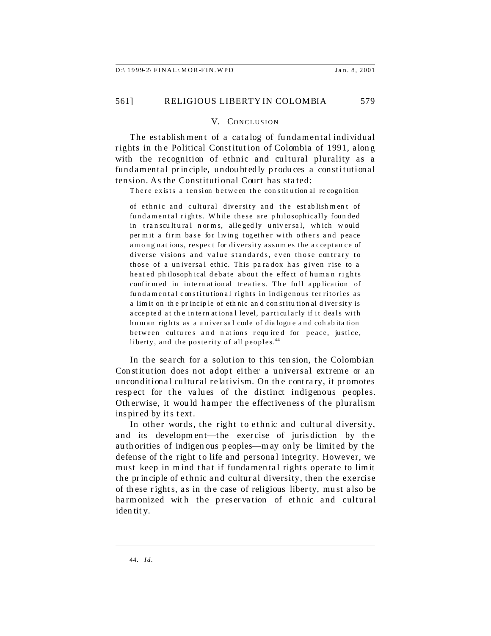#### V. CONCLUSION

The establishment of a catalog of fundamental individual rights in the Political Constitution of Colombia of 1991, along with the recognition of ethnic and cultural plurality as a fundamental principle, undoubtedly produces a constitutional tension. As the Constitutional Court has sta ted:

There exists a tension between the constitution al recognition

of ethnic and cultural diversity and the establishment of fundamental rights. While these are philosophically founded in transcultural norms, allegedly universal, which would per mit a firm base for living together with others and peace among nat ions, respect for diversity assum es the a cceptan ce of diverse visions and value standards, even those contrary to those of a universal ethic. This paradox has given rise to a heated philosophical debate about the effect of human rights confir m ed in in te rn at ion al tr ea tie s. The fu ll app lication of fundamental constitutional rights in indigenous territories as a limit on th e pr incip le of eth nic an d con stitu tion al d iver sity is a ccepted at the international level, particularly if it deals with human rights as a univer sal code of dialogue and cohabitation between cultures and nations required for peace, justice, liberty, and the posterity of all peoples.<sup>44</sup>

In the search for a solution to this tension, the Colombian Constitution does not adopt either a universal extreme or an unconditional cultural relativism. On the contrary, it promotes respect for the values of the distinct indigenous peoples. Otherwise, it would hamper the effectiveness of the pluralism inspired by it s text.

In other words, the right to ethnic and cultur al diversity, and its developm ent—the exercise of juris diction by th e authorities of indigen ous peoples—m ay only be limit ed by t he defense of the right to life and personal integrity. However, we must keep in mind that if fundamental rights operate to limit the principle of ethnic and cultural diversity, then the exercise of th ese r ight s, as in th e case of religious liberty, must a lso be harmonized with the preservation of ethnic and cultural iden tit y.